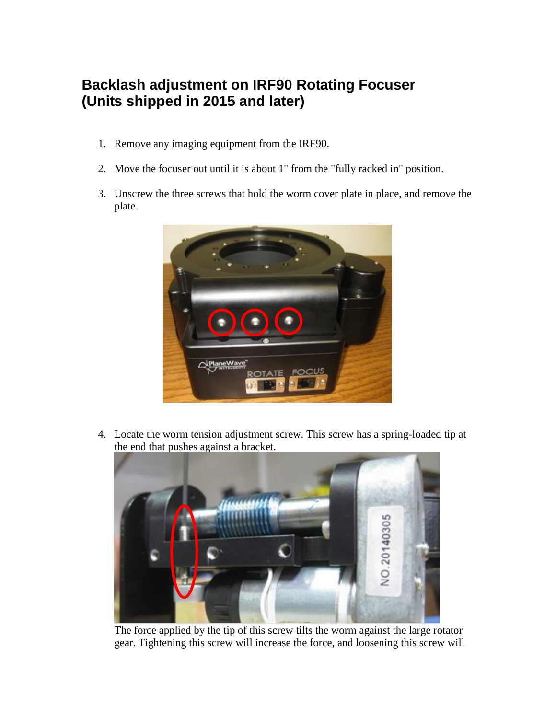## **Backlash adjustment on IRF90 Rotating Focuser (Units shipped in 2015 and later)**

- 1. Remove any imaging equipment from the IRF90.
- 2. Move the focuser out until it is about 1" from the "fully racked in" position.
- 3. Unscrew the three screws that hold the worm cover plate in place, and remove the plate.



4. Locate the worm tension adjustment screw. This screw has a spring-loaded tip at the end that pushes against a bracket.



The force applied by the tip of this screw tilts the worm against the large rotator gear. Tightening this screw will increase the force, and loosening this screw will